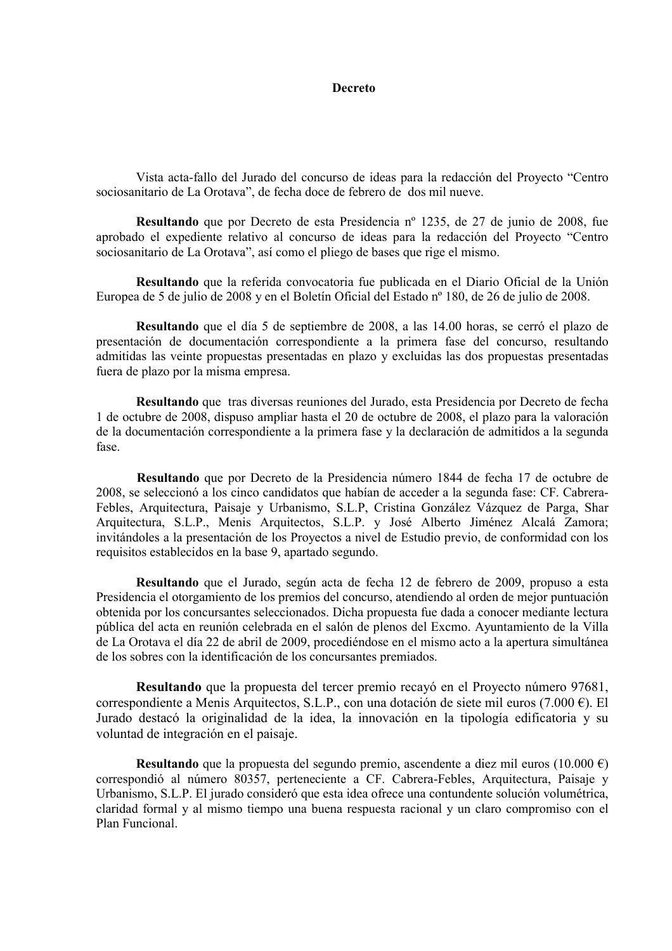## **Decreto**

Vista acta-fallo del Jurado del concurso de ideas para la redacción del Provecto "Centro" sociosanitario de La Orotava", de fecha doce de febrero de dos mil nueve.

Resultando que por Decreto de esta Presidencia nº 1235, de 27 de junio de 2008, fue aprobado el expediente relativo al concurso de ideas para la redacción del Proyecto "Centro sociosanitario de La Orotava", así como el pliego de bases que rige el mismo.

Resultando que la referida convocatoria fue publicada en el Diario Oficial de la Unión Europea de 5 de julio de 2008 y en el Boletín Oficial del Estado nº 180, de 26 de julio de 2008.

Resultando que el día 5 de septiembre de 2008, a las 14.00 horas, se cerró el plazo de presentación de documentación correspondiente a la primera fase del concurso, resultando admitidas las veinte propuestas presentadas en plazo y excluidas las dos propuestas presentadas fuera de plazo por la misma empresa.

Resultando que tras diversas reuniones del Jurado, esta Presidencia por Decreto de fecha 1 de octubre de 2008, dispuso ampliar hasta el 20 de octubre de 2008, el plazo para la valoración de la documentación correspondiente a la primera fase y la declaración de admitidos a la segunda fase.

Resultando que por Decreto de la Presidencia número 1844 de fecha 17 de octubre de 2008, se seleccionó a los cinco candidatos que habían de acceder a la segunda fase: CF. Cabrera-Febles, Arquitectura, Paisaje y Urbanismo, S.L.P, Cristina González Vázquez de Parga, Shar Arquitectura, S.L.P., Menis Arquitectos, S.L.P. y José Alberto Jiménez Alcalá Zamora; invitándoles a la presentación de los Proyectos a nivel de Estudio previo, de conformidad con los requisitos establecidos en la base 9, apartado segundo.

Resultando que el Jurado, según acta de fecha 12 de febrero de 2009, propuso a esta Presidencia el otorgamiento de los premios del concurso, atendiendo al orden de mejor puntuación obtenida por los concursantes seleccionados. Dicha propuesta fue dada a conocer mediante lectura pública del acta en reunión celebrada en el salón de plenos del Excmo. Ayuntamiento de la Villa de La Orotava el día 22 de abril de 2009, procediéndose en el mismo acto a la apertura simultánea de los sobres con la identificación de los concursantes premiados.

Resultando que la propuesta del tercer premio recavó en el Provecto número 97681. correspondiente a Menis Arquitectos, S.L.P., con una dotación de siete mil euros (7.000 €). El Jurado destacó la originalidad de la idea, la innovación en la tipología edificatoria y su voluntad de integración en el paisaje.

Resultando que la propuesta del segundo premio, ascendente a diez mil euros (10.000  $\epsilon$ ) correspondió al número 80357, perteneciente a CF. Cabrera-Febles, Arquitectura, Paisaje y Urbanismo, S.L.P. El jurado consideró que esta idea ofrece una contundente solución volumétrica, claridad formal y al mismo tiempo una buena respuesta racional y un claro compromiso con el Plan Funcional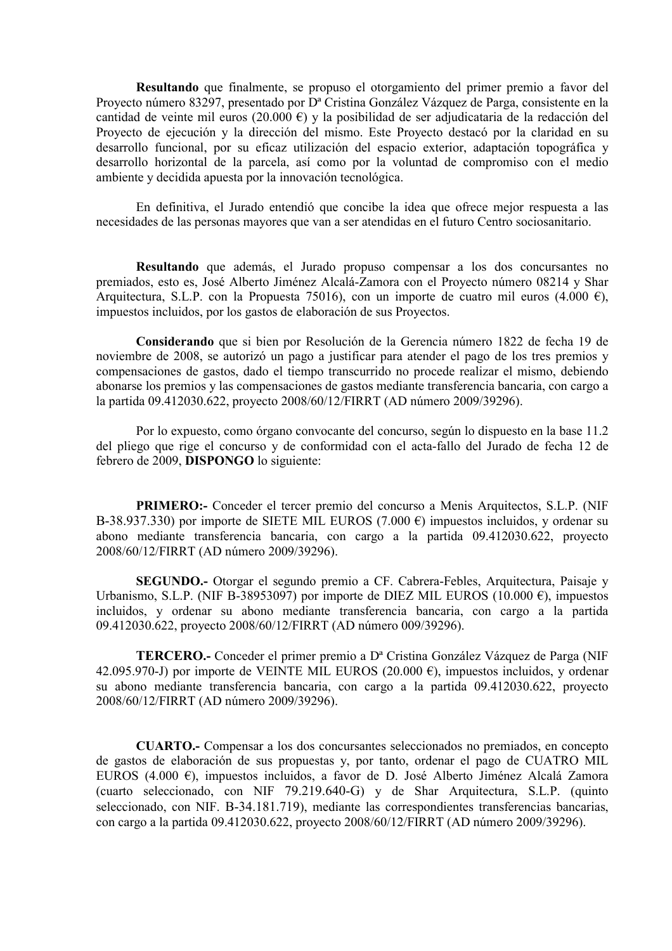Resultando que finalmente, se propuso el otorgamiento del primer premio a favor del Proyecto número 83297, presentado por D<sup>a</sup> Cristina González Vázquez de Parga, consistente en la cantidad de veinte mil euros (20.000  $\epsilon$ ) y la posibilidad de ser adjudicataria de la redacción del Provecto de ejecución y la dirección del mismo. Este Provecto destacó por la claridad en su desarrollo funcional, por su eficaz utilización del espacio exterior, adaptación topográfica y desarrollo horizontal de la parcela, así como por la voluntad de compromiso con el medio ambiente y decidida apuesta por la innovación tecnológica.

En definitiva, el Jurado entendió que concibe la idea que ofrece mejor respuesta a las necesidades de las personas mayores que van a ser atendidas en el futuro Centro sociosanitario.

Resultando que además, el Jurado propuso compensar a los dos concursantes no premiados, esto es. José Alberto Jiménez Alcalá-Zamora con el Provecto número 08214 y Shar Arquitectura, S.L.P. con la Propuesta 75016), con un importe de cuatro mil euros (4.000 €), impuestos incluidos, por los gastos de elaboración de sus Proyectos.

Considerando que si bien por Resolución de la Gerencia número 1822 de fecha 19 de noviembre de 2008, se autorizó un pago a justificar para atender el pago de los tres premios y compensaciones de gastos, dado el tiempo transcurrido no procede realizar el mismo, debiendo abonarse los premios y las compensaciones de gastos mediante transferencia bancaria, con cargo a la partida 09.412030.622, proyecto 2008/60/12/FIRRT (AD número 2009/39296).

Por lo expuesto, como órgano convocante del concurso, según lo dispuesto en la base 11.2 del pliego que rige el concurso y de conformidad con el acta-fallo del Jurado de fecha 12 de febrero de 2009, DISPONGO lo siguiente:

**PRIMERO:**- Conceder el tercer premio del concurso a Menis Arquitectos, S.L.P. (NIF B-38.937.330) por importe de SIETE MIL EUROS (7.000  $\epsilon$ ) impuestos incluidos, y ordenar su abono mediante transferencia bancaria, con cargo a la partida 09.412030.622, provecto 2008/60/12/FIRRT (AD número 2009/39296).

SEGUNDO.- Otorgar el segundo premio a CF. Cabrera-Febles, Arquitectura, Paisaje y Urbanismo, S.L.P. (NIF B-38953097) por importe de DIEZ MIL EUROS (10.000  $\epsilon$ ), impuestos incluidos, y ordenar su abono mediante transferencia bancaria, con cargo a la partida 09.412030.622, provecto 2008/60/12/FIRRT (AD número 009/39296).

**TERCERO.-** Conceder el primer premio a D<sup>a</sup> Cristina González Vázquez de Parga (NIF 42.095.970-J) por importe de VEINTE MIL EUROS (20.000  $\epsilon$ ), impuestos incluidos, y ordenar su abono mediante transferencia bancaria, con cargo a la partida 09.412030.622, proyecto 2008/60/12/FIRRT (AD número 2009/39296).

**CUARTO.** Compensar a los dos concursantes seleccionados no premiados, en concepto de gastos de elaboración de sus propuestas y, por tanto, ordenar el pago de CUATRO MIL EUROS (4.000 €), impuestos incluidos, a favor de D. José Alberto Jiménez Alcalá Zamora (cuarto seleccionado, con NIF 79.219.640-G) y de Shar Arquitectura, S.L.P. (quinto seleccionado, con NIF. B-34.181.719), mediante las correspondientes transferencias bancarias, con cargo a la partida 09.412030.622, proyecto 2008/60/12/FIRRT (AD número 2009/39296).